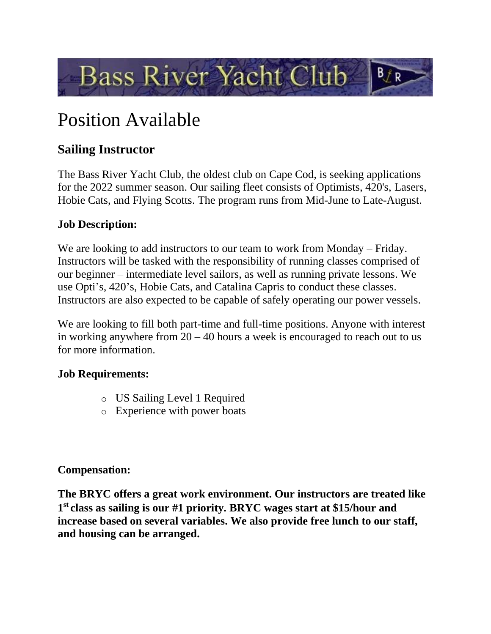

# Position Available

# **Sailing Instructor**

The Bass River Yacht Club, the oldest club on Cape Cod, is seeking applications for the 2022 summer season. Our sailing fleet consists of Optimists, 420's, Lasers, Hobie Cats, and Flying Scotts. The program runs from Mid-June to Late-August.

## **Job Description:**

We are looking to add instructors to our team to work from Monday – Friday. Instructors will be tasked with the responsibility of running classes comprised of our beginner – intermediate level sailors, as well as running private lessons. We use Opti's, 420's, Hobie Cats, and Catalina Capris to conduct these classes. Instructors are also expected to be capable of safely operating our power vessels.

We are looking to fill both part-time and full-time positions. Anyone with interest in working anywhere from 20 – 40 hours a week is encouraged to reach out to us for more information.

### **Job Requirements:**

- o US Sailing Level 1 Required
- o Experience with power boats

### **Compensation:**

**The BRYC offers a great work environment. Our instructors are treated like 1 st class as sailing is our #1 priority. BRYC wages start at \$15/hour and increase based on several variables. We also provide free lunch to our staff, and housing can be arranged.**